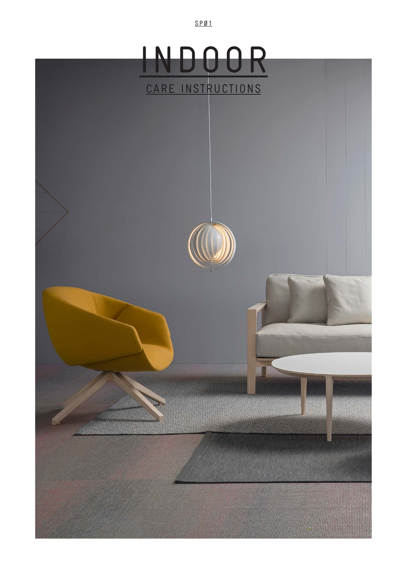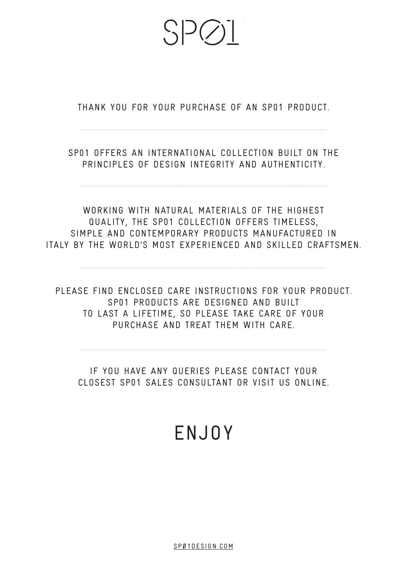$S$  $D(\lambda)$ 

THANK YOU FOR YOUR PURCHASE OF AN SP01 PRODUCT.

SP01 OFFERS AN INTERNATIONAL COLLECTION BUILT ON THE PRINCIPLES OF DESIGN INTEGRITY AND AUTHENTICITY.

WORKING WITH NATURAL MATERIALS OF THE HIGHEST QUALITY, THE SP01 COLLECTION OFFERS TIMELESS, SIMPLE AND CONTEMPORARY PRODUCTS MANUFACTURED IN ITALY BY THE WORLD'S MOST EXPERIENCED AND SKILLED CRAFTSMEN.

PLEASE FIND ENCLOSED CARE INSTRUCTIONS FOR YOUR PRODUCT. SP01 PRODUCTS ARE DESIGNED AND BUILT TO LAST A LIFETIME, SO PLEASE TAKE CARE OF YOUR PURCHASE AND TREAT THEM WITH CARE.

IF YOU HAVE ANY QUERIES PLEASE CONTACT YOUR CLOSEST SP01 SALES CONSULTANT OR VISIT US ONLINE.

# ENJOY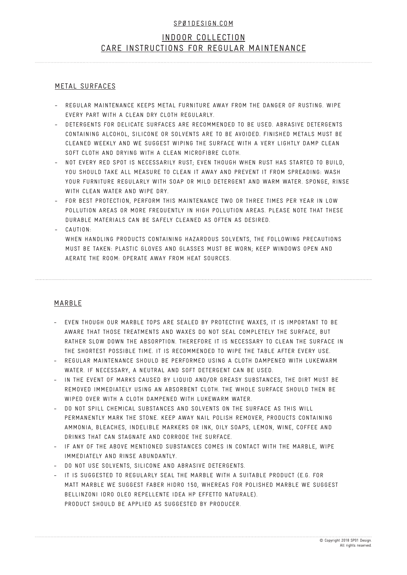# INDOOR COLLECTION CARE INSTRUCTIONS FOR REGULAR MAINTENANCE

#### METAL SURFACES

- REGULAR MAINTENANCE KEEPS METAL FURNITURE AWAY FROM THE DANGER OF RUSTING. WIPE EVERY PART WITH A CLEAN DRY CLOTH REGULARLY. -
- DETERGENTS FOR DELICATE SURFACES ARE RECOMMENDED TO BE USED. ABRASIVE DETERGENTS CONTAINING ALCOHOL, SILICONE OR SOLVENTS ARE TO BE AVOIDED. FINISHED METALS MUST BE CLEANED WEEKLY AND WE SUGGEST WIPING THE SURFACE WITH A VERY LIGHTLY DAMP CLEAN SOFT CLOTH AND DRYING WITH A CLEAN MICROFIBRE CLOTH. -
- NOT EVERY RED SPOT IS NECESSARILY RUST; EVEN THOUGH WHEN RUST HAS STARTED TO BUILD, YOU SHOULD TAKE ALL MEASURE TO CLEAN IT AWAY AND PREVENT IT FROM SPREADING: WASH YOUR FURNITURE REGULARLY WITH SOAP OR MILD DETERGENT AND WARM WATER. SPONGE, RINSE WITH CLEAN WATER AND WIPE DRY. -
- FOR BEST PROTECTION, PERFORM THIS MAINTENANCE TWO OR THREE TIMES PER YEAR IN LOW POLLUTION AREAS OR MORE FREQUENTLY IN HIGH POLLUTION AREAS. PLEASE NOTE THAT THESE DURABLE MATERIALS CAN BE SAFELY CLEANED AS OFTEN AS DESIRED. -
- CAUTION: -
	- WHEN HANDLING PRODUCTS CONTAINING HAZARDOUS SOLVENTS, THE FOLLOWING PRECAUTIONS MUST BE TAKEN: PLASTIC GLOVES AND GLASSES MUST BE WORN; KEEP WINDOWS OPEN AND AERATE THE ROOM: OPERATE AWAY FROM HEAT SOURCES.

## MARBLE

- EVEN THOUGH OUR MARBLE TOPS ARE SEALED BY PROTECTIVE WAXES, IT IS IMPORTANT TO BE AWARE THAT THOSE TREATMENTS AND WAXES DO NOT SEAL COMPLETELY THE SURFACE, BUT RATHER SLOW DOWN THE ABSORPTION. THEREFORE IT IS NECESSARY TO CLEAN THE SURFACE IN THE SHORTEST POSSIBLE TIME. IT IS RECOMMENDED TO WIPE THE TABLE AFTER EVERY USE.
- REGULAR MAINTENANCE SHOULD BE PERFORMED USING A CLOTH DAMPENED WITH LUKEWARM WATER. IF NECESSARY, A NEUTRAL AND SOFT DETERGENT CAN BE USED. -
- IN THE EVENT OF MARKS CAUSED BY LIQUID AND/OR GREASY SUBSTANCES, THE DIRT MUST BE REMOVED IMMEDIATELY USING AN ABSORBENT CLOTH. THE WHOLE SURFACE SHOULD THEN BE WIPED OVER WITH A CLOTH DAMPENED WITH LUKEWARM WATER. -
- DO NOT SPILL CHEMICAL SUBSTANCES AND SOLVENTS ON THE SURFACE AS THIS WILL PERMANENTLY MARK THE STONE. KEEP AWAY NAIL POLISH REMOVER, PRODUCTS CONTAINING AMMONIA, BLEACHES, INDELIBLE MARKERS OR INK, OILY SOAPS, LEMON, WINE, COFFEE AND DRINKS THAT CAN STAGNATE AND CORRODE THE SURFACE.
- IF ANY OF THE ABOVE MENTIONED SUBSTANCES COMES IN CONTACT WITH THE MARBLE, WIPE IMMEDIATELY AND RINSE ABUNDANTLY.
- DO NOT USE SOLVENTS, SILICONE AND ABRASIVE DETERGENTS.
- IT IS SUGGESTED TO REGULARLY SEAL THE MARBLE WITH A SUITABLE PRODUCT (E.G. FOR MATT MARBLE WE SUGGEST FABER HIDRO 150, WHEREAS FOR POLISHED MARBLE WE SUGGEST BELLINZONI IDRO OLEO REPELLENTE IDEA HP EFFETTO NATURALE). PRODUCT SHOULD BE APPLIED AS SUGGESTED BY PRODUCER. -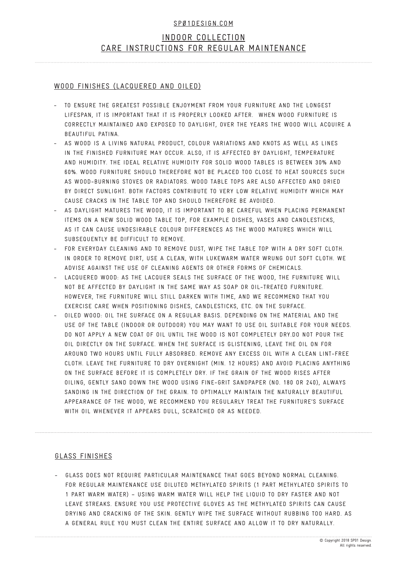# INDOOR COLLECTION CARE INSTRUCTIONS FOR REGULAR MAINTENANCE

#### WOOD FINISHES (LACQUERED AND OILED)

- TO ENSURE THE GREATEST POSSIBLE ENJOYMENT FROM YOUR FURNITURE AND THE LONGEST LIFESPAN, IT IS IMPORTANT THAT IT IS PROPERLY LOOKED AFTER. WHEN WOOD FURNITURE IS CORRECTLY MAINTAINED AND EXPOSED TO DAYLIGHT, OVER THE YEARS THE WOOD WILL ACQUIRE A BEAUTIFUL PATINA. -
- AS WOOD IS A LIVING NATURAL PRODUCT, COLOUR VARIATIONS AND KNOTS AS WELL AS LINES IN THE FINISHED FURNITURE MAY OCCUR. ALSO, IT IS AFFECTED BY DAYLIGHT, TEMPERATURE AND HUMIDITY. THE IDEAL RELATIVE HUMIDITY FOR SOLID WOOD TABLES IS BETWEEN 30% AND 60%. WOOD FURNITURE SHOULD THEREFORE NOT BE PLACED TOO CLOSE TO HEAT SOURCES SUCH AS WOOD-BURNING STOVES OR RADIATORS. WOOD TABLE TOPS ARE ALSO AFFECTED AND DRIED BY DIRECT SUNLIGHT. BOTH FACTORS CONTRIBUTE TO VERY LOW RELATIVE HUMIDITY WHICH MAY CAUSE CRACKS IN THE TABLE TOP AND SHOULD THEREFORE BE AVOIDED.
- AS DAYLIGHT MATURES THE WOOD, IT IS IMPORTANT TO BE CAREFUL WHEN PLACING PERMANENT ITEMS ON A NEW SOLID WOOD TABLE TOP, FOR EXAMPLE DISHES, VASES AND CANDLESTICKS, AS IT CAN CAUSE UNDESIRABLE COLOUR DIFFERENCES AS THE WOOD MATURES WHICH WILL SUBSEQUENTLY BE DIFFICULT TO REMOVE. -
- FOR EVERYDAY CLEANING AND TO REMOVE DUST, WIPE THE TABLE TOP WITH A DRY SOFT CLOTH. IN ORDER TO REMOVE DIRT, USE A CLEAN, WITH LUKEWARM WATER WRUNG OUT SOFT CLOTH. WE ADVISE AGAINST THE USE OF CLEANING AGENTS OR OTHER FORMS OF CHEMICALS. -
- LACQUERED WOOD: AS THE LACQUER SEALS THE SURFACE OF THE WOOD, THE FURNITURE WILL NOT BE AFFECTED BY DAYLIGHT IN THE SAME WAY AS SOAP OR OIL-TREATED FURNITURE. HOWEVER, THE FURNITURE WILL STILL DARKEN WITH TIME, AND WE RECOMMEND THAT YOU EXERCISE CARE WHEN POSITIONING DISHES, CANDLESTICKS, ETC. ON THE SURFACE. -
- OILED WOOD: OIL THE SURFACE ON A REGULAR BASIS. DEPENDING ON THE MATERIAL AND THE USE OF THE TABLE (INDOOR OR OUTDOOR) YOU MAY WANT TO USE OIL SUITABLE FOR YOUR NEEDS. DO NOT APPLY A NEW COAT OF OIL UNTIL THE WOOD IS NOT COMPLETELY DRY.DO NOT POUR THE OIL DIRECTLY ON THE SURFACE. WHEN THE SURFACE IS GLISTENING, LEAVE THE OIL ON FOR AROUND TWO HOURS UNTIL FULLY ABSORBED. REMOVE ANY EXCESS OIL WITH A CLEAN LINT-FREE CLOTH. LEAVE THE FURNITURE TO DRY OVERNIGHT (MIN. 12 HOURS) AND AVOID PLACING ANYTHING ON THE SURFACE BEFORE IT IS COMPLETELY DRY. IF THE GRAIN OF THE WOOD RISES AFTER OILING, GENTLY SAND DOWN THE WOOD USING FINE-GRIT SANDPAPER (NO. 180 OR 240), ALWAYS SANDING IN THE DIRECTION OF THE GRAIN. TO OPTIMALLY MAINTAIN THE NATURALLY BEAUTIFUL APPEARANCE OF THE WOOD, WE RECOMMEND YOU REGULARLY TREAT THE FURNITURE'S SURFACE WITH OIL WHENEVER IT APPEARS DULL, SCRATCHED OR AS NEEDED. -

## GLASS FINISHES

GLASS DOES NOT REQUIRE PARTICULAR MAINTENANCE THAT GOES BEYOND NORMAL CLEANING. FOR REGULAR MAINTENANCE USE DILUTED METHYLATED SPIRITS (1 PART METHYLATED SPIRITS TO 1 PART WARM WATER) – USING WARM WATER WILL HELP THE LIQUID TO DRY FASTER AND NOT LEAVE STREAKS. ENSURE YOU USE PROTECTIVE GLOVES AS THE METHYLATED SPIRITS CAN CAUSE DRYING AND CRACKING OF THE SKIN. GENTLY WIPE THE SURFACE WITHOUT RUBBING TOO HARD. AS A GENERAL RULE YOU MUST CLEAN THE ENTIRE SURFACE AND ALLOW IT TO DRY NATURALLY. -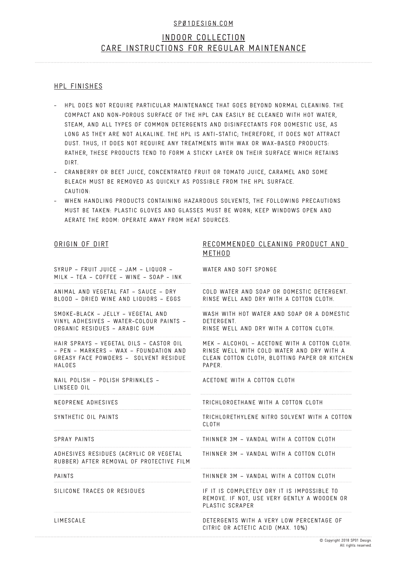# INDOOR COLLECTION CARE INSTRUCTIONS FOR REGULAR MAINTENANCE

#### HPL FINISHES

- HPL DOES NOT REQUIRE PARTICULAR MAINTENANCE THAT GOES BEYOND NORMAL CLEANING. THE COMPACT AND NON-POROUS SURFACE OF THE HPL CAN EASILY BE CLEANED WITH HOT WATER, STEAM, AND ALL TYPES OF COMMON DETERGENTS AND DISINFECTANTS FOR DOMESTIC USE, AS LONG AS THEY ARE NOT ALKALINE. THE HPL IS ANTI-STATIC; THEREFORE, IT DOES NOT ATTRACT DUST. THUS, IT DOES NOT REQUIRE ANY TREATMENTS WITH WAX OR WAX-BASED PRODUCTS: RATHER, THESE PRODUCTS TEND TO FORM A STICKY LAYER ON THEIR SURFACE WHICH RETAINS DIRT. -
- CRANBERRY OR BEET JUICE, CONCENTRATED FRUIT OR TOMATO JUICE, CARAMEL AND SOME BLEACH MUST BE REMOVED AS QUICKLY AS POSSIBLE FROM THE HPL SURFACE. CAUTION: -
- WHEN HANDLING PRODUCTS CONTAINING HAZARDOUS SOLVENTS, THE FOLLOWING PRECAUTIONS MUST BE TAKEN: PLASTIC GLOVES AND GLASSES MUST BE WORN; KEEP WINDOWS OPEN AND AERATE THE ROOM: OPERATE AWAY FROM HEAT SOURCES. -

#### ORIGIN OF DIRT

#### RECOMMENDED CLEANING PRODUCT AND METHOD

SYRUP – FRUIT JUICE – JAM – LIQUOR – MILK – TEA – COFFEE – WINE – SOAP - INK

ANIMAL AND VEGETAL FAT – SAUCE – DRY BLOOD – DRIED WINE AND LIQUORS – EGGS

SMOKE-BLACK – JELLY – VEGETAL AND VINYL ADHESIVES – WATER-COLOUR PAINTS – ORGANIC RESIDUES – ARABIC GUM

HAIR SPRAYS – VEGETAL OILS – CASTOR OIL – PEN – MARKERS – WAX – FOUNDATION AND GREASY FACE POWDERS – SOLVENT RESIDUE HALOES

NAIL POLISH – POLISH SPRINKLES – LINSEED OIL

NEOPRENE ADHESIVES

SYNTHETIC OIL PAINTS

SPRAY PAINTS

ADHESIVES RESIDUES (ACRYLIC OR VEGETAL RUBBER) AFTER REMOVAL OF PROTECTIVE FILM

PAINTS

SILICONE TRACES OR RESIDUES

LIMESCALE

WATER AND SOFT SPONGE

COLD WATER AND SOAP OR DOMESTIC DETERGENT. RINSE WELL AND DRY WITH A COTTON CLOTH.

WASH WITH HOT WATER AND SOAP OR A DOMESTIC DETERGENT.

RINSE WELL AND DRY WITH A COTTON CLOTH.

MEK – ALCOHOL – ACETONE WITH A COTTON CLOTH. RINSE WELL WITH COLD WATER AND DRY WITH A CLEAN COTTON CLOTH, BLOTTING PAPER OR KITCHEN PAPER.

ACETONE WITH A COTTON CLOTH

TRICHLOROETHANE WITH A COTTON CLOTH

TRICHLORETHYLENE NITRO SOLVENT WITH A COTTON CLOTH

THINNER 3M – VANDAL WITH A COTTON CLOTH

THINNER 3M – VANDAL WITH A COTTON CLOTH

THINNER 3M – VANDAL WITH A COTTON CLOTH

IF IT IS COMPLETELY DRY IT IS IMPOSSIBLE TO REMOVE. IF NOT, USE VERY GENTLY A WOODEN OR PLASTIC SCRAPER

DETERGENTS WITH A VERY LOW PERCENTAGE OF CITRIC OR ACTETIC ACID (MAX. 10%)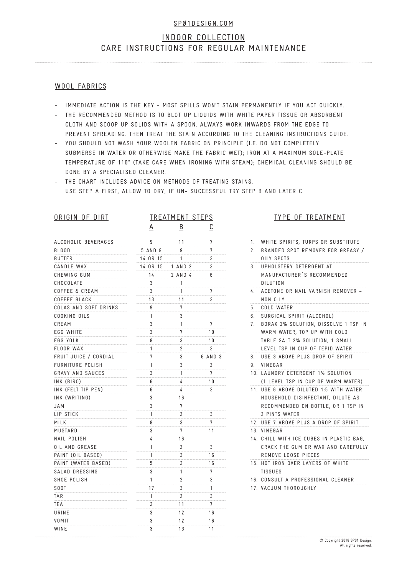# INDOOR COLLECTION CARE INSTRUCTIONS FOR REGULAR MAINTENANCE

#### WOOL FABRICS

- IMMEDIATE ACTION IS THE KEY MOST SPILLS WON'T STAIN PERMANENTLY IF YOU ACT QUICKLY.
- THE RECOMMENDED METHOD IS TO BLOT UP LIQUIDS WITH WHITE PAPER TISSUE OR ABSORBENT CLOTH AND SCOOP UP SOLIDS WITH A SPOON. ALWAYS WORK INWARDS FROM THE EDGE TO PREVENT SPREADING. THEN TREAT THE STAIN ACCORDING TO THE CLEANING INSTRUCTIONS GUIDE.
- YOU SHOULD NOT WASH YOUR WOOLEN FABRIC ON PRINCIPLE (I.E. DO NOT COMPLETELY SUBMERSE IN WATER OR OTHERWISE MAKE THE FABRIC WET); IRON AT A MAXIMUM SOLE-PLATE TEMPERATURE OF 110° (TAKE CARE WHEN IRONING WITH STEAM); CHEMICAL CLEANING SHOULD BE DONE BY A SPECIALISED CLEANER.
- THE CHART INCLUDES ADVICE ON METHODS OF TREATING STAINS. USE STEP A FIRST, ALLOW TO DRY, IF UN- SUCCESSFUL TRY STEP B AND LATER C.

| ORIGIN OF DIRT            | <b>TREATMENT STEPS</b> |                          |                          | <b>TYPE OF TREATMENT</b>                            |  |
|---------------------------|------------------------|--------------------------|--------------------------|-----------------------------------------------------|--|
|                           | <u>A</u>               | $\underline{\mathsf{B}}$ | $\underline{\mathbb{C}}$ |                                                     |  |
| ALCOHOLIC BEVERAGES       | 9                      | 11                       | 7                        | 1. WHITE SPIRITS, TURPS OR SUBSTITUTE               |  |
| <b>BLOOD</b>              | 5 AND 8                | 9                        | $\overline{7}$           | BRANDED SPOT REMOVER FOR GREASY /<br>2 <sub>1</sub> |  |
| <b>BUTTER</b>             | 14 OR 15               | $\mathbf{1}$             | 3                        | OILY SPOTS                                          |  |
| CANDLE WAX                | 14 OR 15               | 1 AND 2                  | 3                        | 3. UPHOLSTERY DETERGENT AT                          |  |
| CHEWING GUM               | 14                     | 2 AND 4                  | 6                        | MANUFACTURER'S RECOMMENDED                          |  |
| CHOCOLATE                 | 3                      | 1                        |                          | <b>DILUTION</b>                                     |  |
| <b>COFFEE &amp; CREAM</b> | 3                      | $\mathbf{1}$             | 7                        | 4. ACETONE OR NAIL VARNISH REMOVER -                |  |
| COFFEE BLACK              | 13                     | 11                       | 3                        | NON OILY                                            |  |
| COLAS AND SOFT DRINKS     | 9                      | $\overline{7}$           |                          | COLD WATER<br>5.                                    |  |
| COOKING OILS              | $\mathbf{1}$           | 3                        |                          | 6. SURGICAL SPIRIT (ALCOHOL)                        |  |
| CREAM                     | 3                      | 1                        | $\overline{7}$           | 7. BORAX 2% SOLUTION, DISSOLVE 1 TSP IN             |  |
| EGG WHITE                 | 3                      | $\overline{7}$           | 10                       | WARM WATER, TOP UP WITH COLD                        |  |
| EGG YOLK                  | 8                      | 3                        | 10                       | TABLE SALT 2% SOLUTION, 1 SMALL                     |  |
| FLOOR WAX                 | $\mathbf{1}$           | $\overline{2}$           | 3                        | LEVEL TSP IN CUP OF TEPID WATER                     |  |
| FRUIT JUICE / CORDIAL     | $7\overline{ }$        | 3                        | 6 AND 3                  | 8. USE 3 ABOVE PLUS DROP OF SPIRIT                  |  |
| <b>FURNITURE POLISH</b>   | 1                      | 3                        | $\overline{2}$           | 9. VINEGAR                                          |  |
| GRAVY AND SAUCES          | 3                      | 1                        | 7                        | 10. LAUNDRY DETERGENT 1% SOLUTION                   |  |
| INK (BIRO)                | 6                      | 4                        | 10                       | (1 LEVEL TSP IN CUP OF WARM WATER)                  |  |
| INK (FELT TIP PEN)        | 6                      | $\frac{1}{4}$            | 3                        | 11. USE 6 ABOVE DILUTED 1:5 WITH WATER              |  |
| INK (WRITING)             | 3                      | 16                       |                          | HOUSEHOLD DISINFECTANT, DILUTE AS                   |  |
| JAM                       | 3                      | $\overline{7}$           |                          | RECOMMENDED ON BOTTLE, OR 1 TSP IN                  |  |
| LIP STICK                 | $\mathbf{1}$           | $\overline{2}$           | 3                        | 2 PINTS WATER                                       |  |
| MILK                      | 8                      | 3                        | 7                        | 12. USE 7 ABOVE PLUS A DROP OF SPIRIT               |  |
| MUSTARD                   | 3                      | $7\phantom{.}$           | 11                       | 13. VINEGAR                                         |  |
| NAIL POLISH               | 4                      | 16                       |                          | 14. CHILL WITH ICE CUBES IN PLASTIC BAG,            |  |
| OIL AND GREASE            | $\mathbf{1}$           | $\overline{2}$           | 3                        | CRACK THE GUM OR WAX AND CAREFULLY                  |  |
| PAINT (OIL BASED)         | $\mathbf{1}$           | 3                        | 16                       | REMOVE LOOSE PIECES                                 |  |
| PAINT (WATER BASED)       | 5                      | 3                        | 16                       | 15. HOT IRON OVER LAYERS OF WHITE                   |  |
| SALAD DRESSING            | 3                      | $\mathbf{1}$             | 7                        | <b>TISSUES</b>                                      |  |
| SHOE POLISH               | 1                      | $\overline{2}$           | 3                        | 16. CONSULT A PROFESSIONAL CLEANER                  |  |
| SOOT                      | 17                     | 3                        | $\mathbf{1}$             | 17. VACUUM THOROUGHLY                               |  |
| TAR                       | $\mathbf{1}$           | $\overline{2}$           | 3                        |                                                     |  |
| TEA                       | 3                      | 11                       | 7                        |                                                     |  |
| URINE                     | 3                      | 12                       | 16                       |                                                     |  |
| VOMIT                     | 3                      | 12                       | 16                       |                                                     |  |
| WINE                      | 3                      | 13                       | 11                       |                                                     |  |

#### **TMENT**

| WARM WATER, TOP UP WITH COLD         |
|--------------------------------------|
| TABLE SALT 2% SOLUTION, 1 SMALL      |
| LEVEL TSP IN CUP OF TEPID WATER      |
| USE 3 ABOVE PLUS DROP OF SPIRIT      |
| VINEGAR                              |
| LAUNDRY DETERGENT 1% SOLUTION        |
| (1 LEVEL TSP IN CUP OF WARM WATER)   |
| USE 6 ABOVE DILUTED 1:5 WITH WATER   |
| HOUSEHOLD DISINFECTANT, DILUTE AS    |
| RECOMMENDED ON BOTTLE, OR 1 TSP IN   |
| 2 PINTS WATER                        |
| USE 7 ABOVE PLUS A DROP OF SPIRIT    |
| VINEGAR                              |
| CHILL WITH ICE CUBES IN PLASTIC BAG. |
| CRACK THE GUM OR WAX AND CAREFULLY   |
| REMOVE LOOSE PIECES                  |
| HOT IRON OVER LAYERS OF WHITE        |
| TISSUES                              |
| CONSULT A PROFESSIONAL CLEANER       |
| VACUUM THOROUGHLY                    |
|                                      |
|                                      |
|                                      |
|                                      |
|                                      |
| © Copyright 2018 SP01 Design.        |
| All rights reserved                  |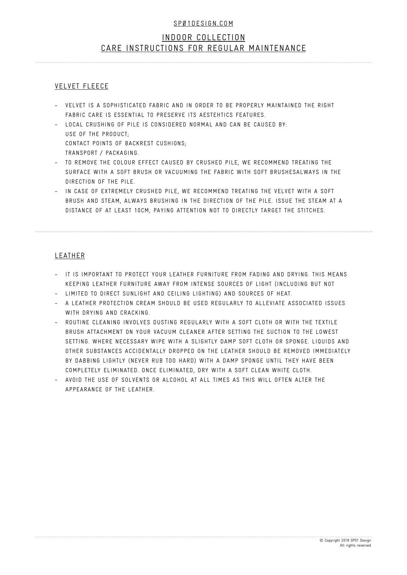# INDOOR COLLECTION CARE INSTRUCTIONS FOR REGULAR MAINTENANCE

## VELVET FLEECE

- VELVET IS A SOPHISTICATED FABRIC AND IN ORDER TO BE PROPERLY MAINTAINED THE RIGHT FABRIC CARE IS ESSENTIAL TO PRESERVE ITS AESTEHTICS FEATURES.
- LOCAL CRUSHING OF PILE IS CONSIDERED NORMAL AND CAN BE CAUSED BY: USE OF THE PRODUCT; CONTACT POINTS OF BACKREST CUSHIONS; TRANSPORT / PACKAGING.
- TO REMOVE THE COLOUR EFFECT CAUSED BY CRUSHED PILE, WE RECOMMEND TREATING THE SURFACE WITH A SOFT BRUSH OR VACUUMING THE FABRIC WITH SOFT BRUSHESALWAYS IN THE DIRECTION OF THE PILE. -
- IN CASE OF EXTREMELY CRUSHED PILE, WE RECOMMEND TREATING THE VELVET WITH A SOFT BRUSH AND STEAM, ALWAYS BRUSHING IN THE DIRECTION OF THE PILE. ISSUE THE STEAM AT A DISTANCE OF AT LEAST 10CM, PAYING ATTENTION NOT TO DIRECTLY TARGET THE STITCHES. -

## LEATHER

- IT IS IMPORTANT TO PROTECT YOUR LEATHER FURNITURE FROM FADING AND DRYING. THIS MEANS KEEPING LEATHER FURNITURE AWAY FROM INTENSE SOURCES OF LIGHT (INCLUDING BUT NOT
- LIMITED TO DIRECT SUNLIGHT AND CEILING LIGHTING) AND SOURCES OF HEAT.
- A LEATHER PROTECTION CREAM SHOULD BE USED REGULARLY TO ALLEVIATE ASSOCIATED ISSUES WITH DRYING AND CRACKING. -
- ROUTINE CLEANING INVOLVES DUSTING REGULARLY WITH A SOFT CLOTH OR WITH THE TEXTILE BRUSH ATTACHMENT ON YOUR VACUUM CLEANER AFTER SETTING THE SUCTION TO THE LOWEST SETTING. WHERE NECESSARY WIPE WITH A SLIGHTLY DAMP SOFT CLOTH OR SPONGE. LIQUIDS AND OTHER SUBSTANCES ACCIDENTALLY DROPPED ON THE LEATHER SHOULD BE REMOVED IMMEDIATELY BY DABBING LIGHTLY (NEVER RUB TOO HARD) WITH A DAMP SPONGE UNTIL THEY HAVE BEEN COMPLETELY ELIMINATED. ONCE ELIMINATED, DRY WITH A SOFT CLEAN WHITE CLOTH. -
- AVOID THE USE OF SOLVENTS OR ALCOHOL AT ALL TIMES AS THIS WILL OFTEN ALTER THE APPEARANCE OF THE LEATHER. -